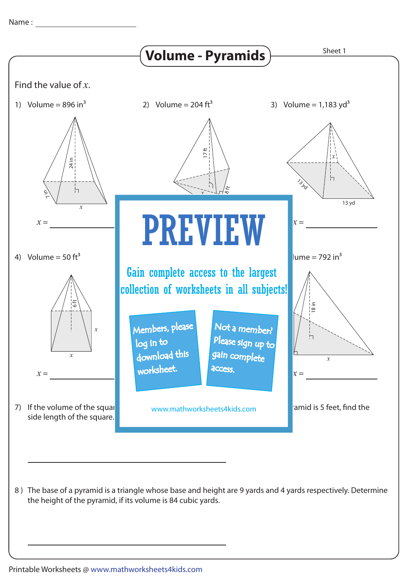